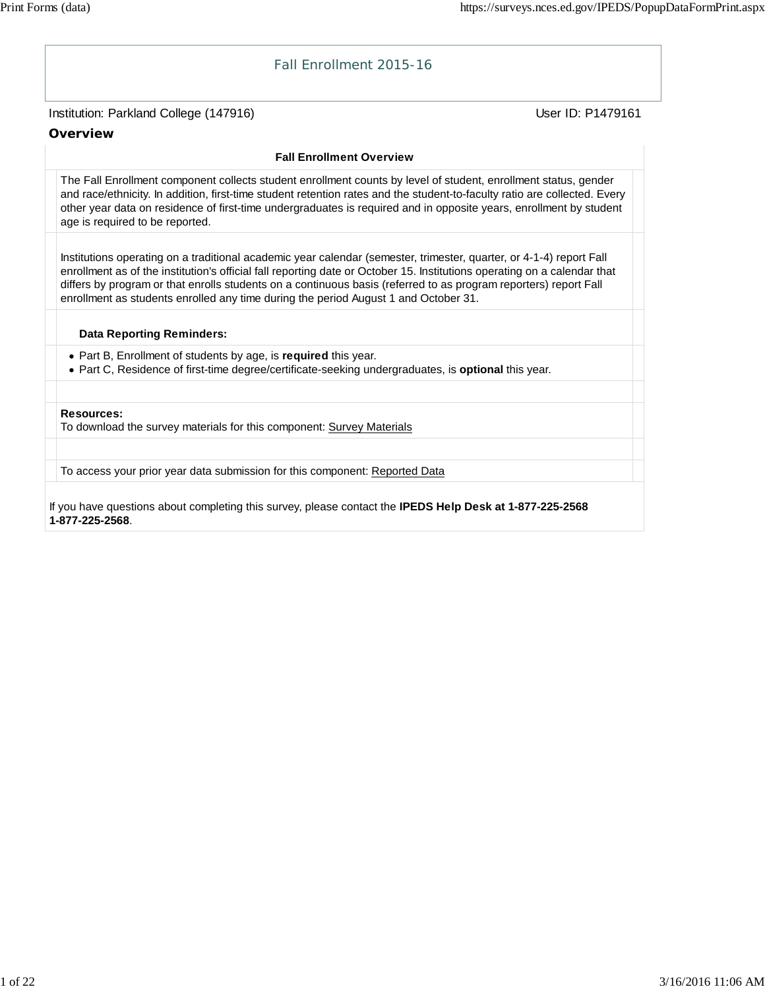# Institution: Parkland College (147916) November 2012 12: Physics User ID: P1479161 Fall Enrollment 2015-16 **Overview Fall Enrollment Overview** The Fall Enrollment component collects student enrollment counts by level of student, enrollment status, gender and race/ethnicity. In addition, first-time student retention rates and the student-to-faculty ratio are collected. Every other year data on residence of first-time undergraduates is required and in opposite years, enrollment by student age is required to be reported. Institutions operating on a traditional academic year calendar (semester, trimester, quarter, or 4-1-4) report Fall enrollment as of the institution's official fall reporting date or October 15. Institutions operating on a calendar that differs by program or that enrolls students on a continuous basis (referred to as program reporters) report Fall enrollment as students enrolled any time during the period August 1 and October 31. **Data Reporting Reminders:** Part B, Enrollment of students by age, is **required** this year. Part C, Residence of first-time degree/certificate-seeking undergraduates, is **optional** this year. **Resources:** To download the survey materials for this component: Survey Materials To access your prior year data submission for this component: Reported Data

If you have questions about completing this survey, please contact the **IPEDS Help Desk at 1-877-225-2568 1-877-225-2568**.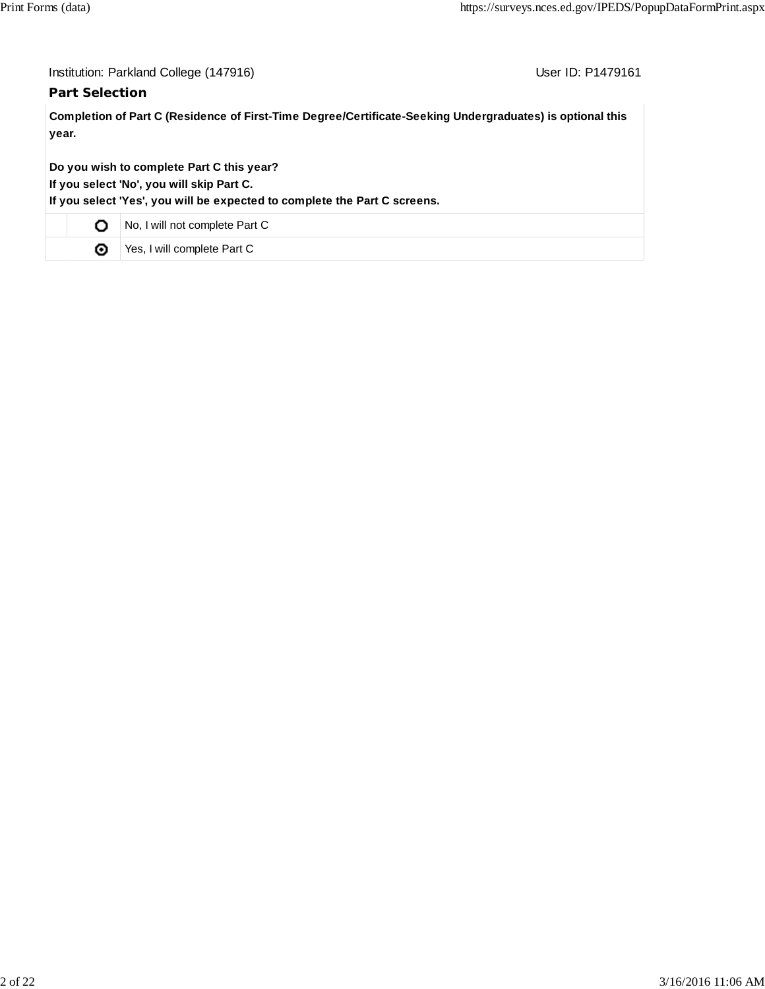## **Part Selection**

User ID: P1479161

**Completion of Part C (Residence of First-Time Degree/Certificate-Seeking Undergraduates) is optional this year.**

**Do you wish to complete Part C this year?**

**If you select 'No', you will skip Part C.**

**If you select 'Yes', you will be expected to complete the Part C screens.**

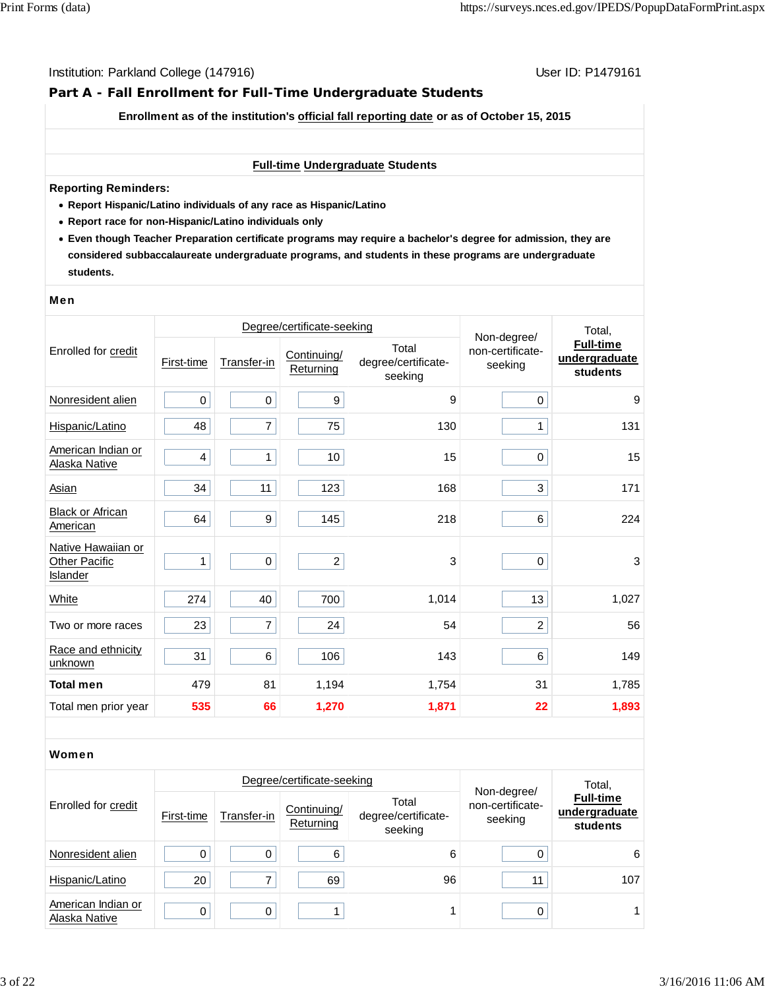# **Part A - Fall Enrollment for Full-Time Undergraduate Students**

**Enrollment as of the institution's official fall reporting date or as of October 15, 2015**

#### **Full-time Undergraduate Students**

#### **Reporting Reminders:**

- **Report Hispanic/Latino individuals of any race as Hispanic/Latino**
- **Report race for non-Hispanic/Latino individuals only**
- **Even though Teacher Preparation certificate programs may require a bachelor's degree for admission, they are considered subbaccalaureate undergraduate programs, and students in these programs are undergraduate students.**

#### Men

|                                                        |            | Degree/certificate-seeking | Non-degree/              | Total,                                  |                             |                                               |
|--------------------------------------------------------|------------|----------------------------|--------------------------|-----------------------------------------|-----------------------------|-----------------------------------------------|
| Enrolled for credit                                    | First-time | Transfer-in                | Continuing/<br>Returning | Total<br>degree/certificate-<br>seeking | non-certificate-<br>seeking | <b>Full-time</b><br>undergraduate<br>students |
| Nonresident alien                                      | 0          | $\boldsymbol{0}$           | $\boldsymbol{9}$         | 9                                       | 0                           | 9                                             |
| Hispanic/Latino                                        | 48         | $\overline{7}$             | 75                       | 130                                     | 1                           | 131                                           |
| American Indian or<br>Alaska Native                    | 4          | $\mathbf{1}$               | 10                       | 15                                      | $\pmb{0}$                   | 15                                            |
| <b>Asian</b>                                           | 34         | 11                         | 123                      | 168                                     | 3                           | 171                                           |
| <b>Black or African</b><br>American                    | 64         | 9                          | 145                      | 218                                     | 6                           | 224                                           |
| Native Hawaiian or<br><b>Other Pacific</b><br>Islander | 1          | $\pmb{0}$                  | $\overline{c}$           | 3                                       | 0                           | $\sqrt{3}$                                    |
| <b>White</b>                                           | 274        | 40                         | 700                      | 1,014                                   | 13                          | 1,027                                         |
| Two or more races                                      | 23         | $\overline{7}$             | 24                       | 54                                      | $\overline{c}$              | 56                                            |
| Race and ethnicity<br>unknown                          | 31         | 6                          | 106                      | 143                                     | 6                           | 149                                           |
| <b>Total men</b>                                       | 479        | 81                         | 1,194                    | 1,754                                   | 31                          | 1,785                                         |
| Total men prior year                                   | 535        | 66                         | 1,270                    | 1,871                                   | 22                          | 1,893                                         |

#### Women

|                                     |            |             | Degree/certificate-seeking |                                         | Total,                                     |                                               |
|-------------------------------------|------------|-------------|----------------------------|-----------------------------------------|--------------------------------------------|-----------------------------------------------|
| Enrolled for credit                 | First-time | Transfer-in | Continuing/<br>Returning   | Total<br>degree/certificate-<br>seeking | Non-degree/<br>non-certificate-<br>seeking | <b>Full-time</b><br>undergraduate<br>students |
| Nonresident alien                   |            | 0           | 6                          | 6                                       |                                            | 6                                             |
| Hispanic/Latino                     | 20         |             | 69                         | 96                                      | 11                                         | 107                                           |
| American Indian or<br>Alaska Native |            | 0           |                            |                                         | 0                                          |                                               |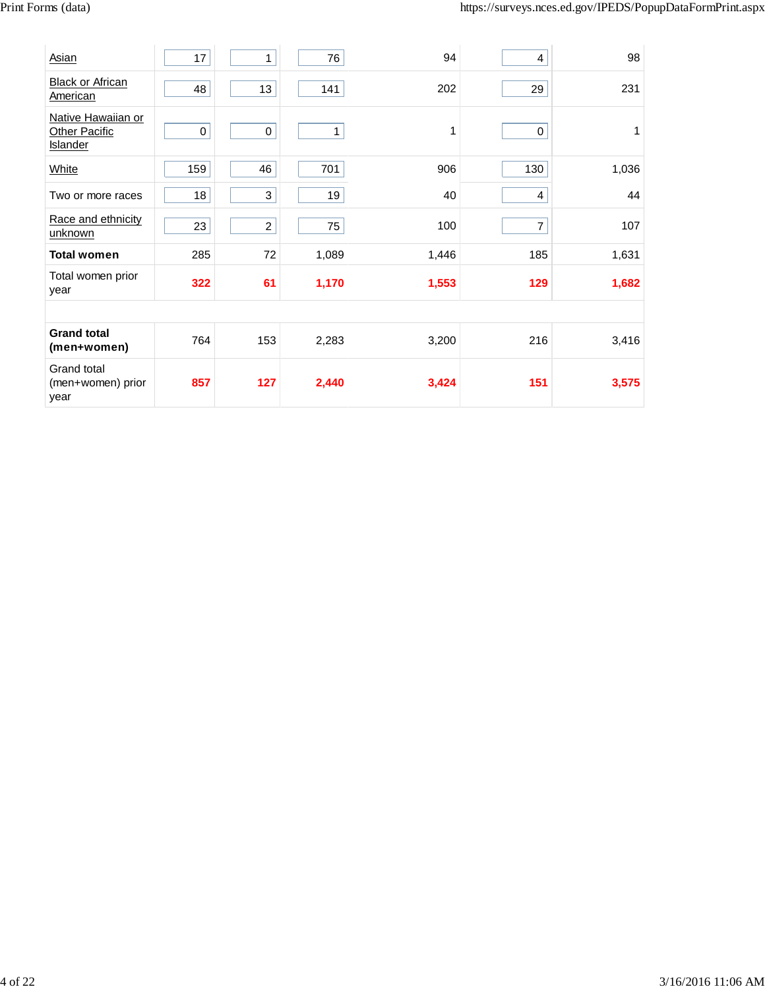| Asian                                                         | 17        | $\mathbf{1}$   | 76    | 94    | 4              | 98    |
|---------------------------------------------------------------|-----------|----------------|-------|-------|----------------|-------|
| <b>Black or African</b><br>American                           | 48        | 13             | 141   | 202   | 29             | 231   |
| Native Hawaiian or<br><b>Other Pacific</b><br><b>Islander</b> | $\pmb{0}$ | $\mathbf 0$    | 1     | 1     | 0              | 1     |
| White                                                         | 159       | 46             | 701   | 906   | 130            | 1,036 |
| Two or more races                                             | 18        | 3              | 19    | 40    | 4              | 44    |
| Race and ethnicity<br>unknown                                 | 23        | $\overline{a}$ | 75    | 100   | $\overline{7}$ | 107   |
| <b>Total women</b>                                            | 285       | 72             | 1,089 | 1,446 | 185            | 1,631 |
| Total women prior<br>year                                     | 322       | 61             | 1,170 | 1,553 | 129            | 1,682 |
|                                                               |           |                |       |       |                |       |
| <b>Grand total</b><br>(men+women)                             | 764       | 153            | 2,283 | 3,200 | 216            | 3,416 |
| Grand total<br>(men+women) prior<br>year                      | 857       | 127            | 2,440 | 3,424 | 151            | 3,575 |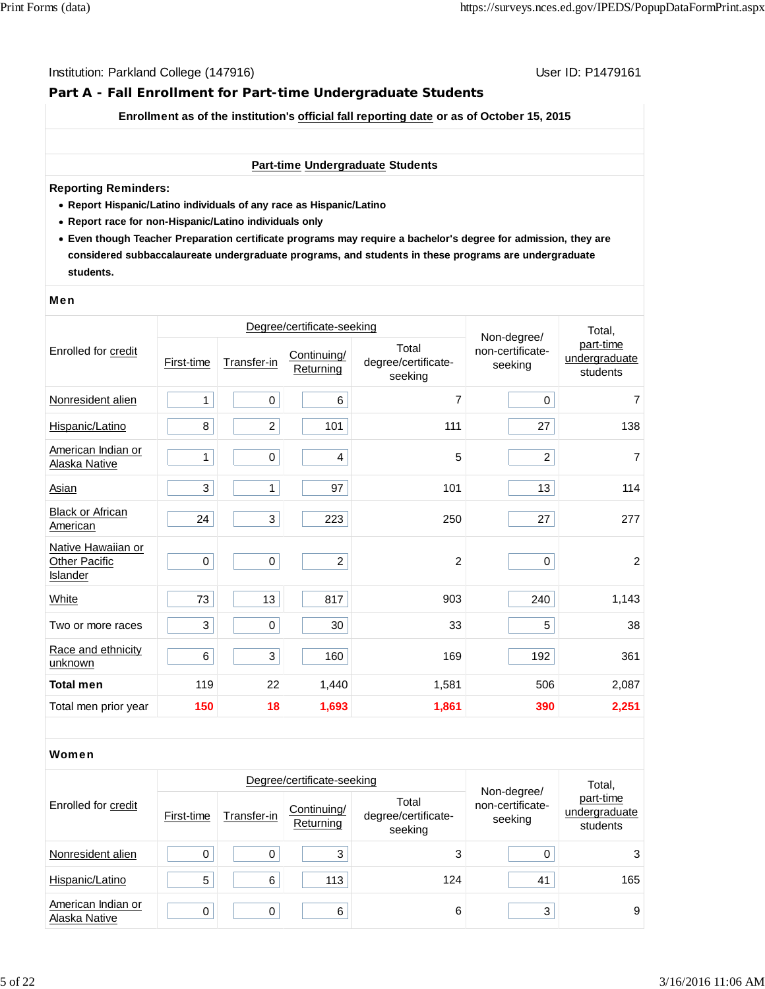# **Part A - Fall Enrollment for Part-time Undergraduate Students**

**Enrollment as of the institution's official fall reporting date or as of October 15, 2015**

#### **Part-time Undergraduate Students**

#### **Reporting Reminders:**

- **Report Hispanic/Latino individuals of any race as Hispanic/Latino**
- **Report race for non-Hispanic/Latino individuals only**
- **Even though Teacher Preparation certificate programs may require a bachelor's degree for admission, they are considered subbaccalaureate undergraduate programs, and students in these programs are undergraduate students.**

#### Men

|                                                        |            | Degree/certificate-seeking | Non-degree/              | Total.                                  |                             |                                        |
|--------------------------------------------------------|------------|----------------------------|--------------------------|-----------------------------------------|-----------------------------|----------------------------------------|
| Enrolled for credit                                    | First-time | Transfer-in                | Continuing/<br>Returning | Total<br>degree/certificate-<br>seeking | non-certificate-<br>seeking | part-time<br>undergraduate<br>students |
| Nonresident alien                                      | 1          | $\mathbf 0$                | $\,6\,$                  | 7                                       | 0                           | $\overline{7}$                         |
| Hispanic/Latino                                        | 8          | $\overline{c}$             | 101                      | 111                                     | 27                          | 138                                    |
| American Indian or<br>Alaska Native                    | 1          | $\pmb{0}$                  | $\overline{4}$           | 5                                       | $\overline{c}$              | $\overline{7}$                         |
| <b>Asian</b>                                           | 3          | 1                          | 97                       | 101                                     | 13                          | 114                                    |
| <b>Black or African</b><br>American                    | 24         | 3                          | 223                      | 250                                     | 27                          | 277                                    |
| Native Hawaiian or<br><b>Other Pacific</b><br>Islander | $\pmb{0}$  | $\pmb{0}$                  | $\overline{2}$           | $\overline{2}$                          | 0                           | $\overline{c}$                         |
| <b>White</b>                                           | 73         | 13                         | 817                      | 903                                     | 240                         | 1,143                                  |
| Two or more races                                      | 3          | $\pmb{0}$                  | 30                       | 33                                      | 5                           | 38                                     |
| Race and ethnicity<br>unknown                          | 6          | 3                          | 160                      | 169                                     | 192                         | 361                                    |
| <b>Total men</b>                                       | 119        | 22                         | 1,440                    | 1,581                                   | 506                         | 2,087                                  |
| Total men prior year                                   | 150        | 18                         | 1,693                    | 1,861                                   | 390                         | 2,251                                  |

#### Women

|                                     |            | Degree/certificate-seeking |                          | Total,                                  |                                            |                                        |
|-------------------------------------|------------|----------------------------|--------------------------|-----------------------------------------|--------------------------------------------|----------------------------------------|
| Enrolled for credit                 | First-time | Transfer-in                | Continuing/<br>Returning | Total<br>degree/certificate-<br>seeking | Non-degree/<br>non-certificate-<br>seeking | part-time<br>undergraduate<br>students |
| Nonresident alien                   | 0          | 0                          | 3                        | 3                                       |                                            | 3                                      |
| Hispanic/Latino                     | 5          | 6                          | 113                      | 124                                     | 41                                         | 165                                    |
| American Indian or<br>Alaska Native | 0          | $\Omega$                   | 6                        | 6                                       | 3                                          | 9                                      |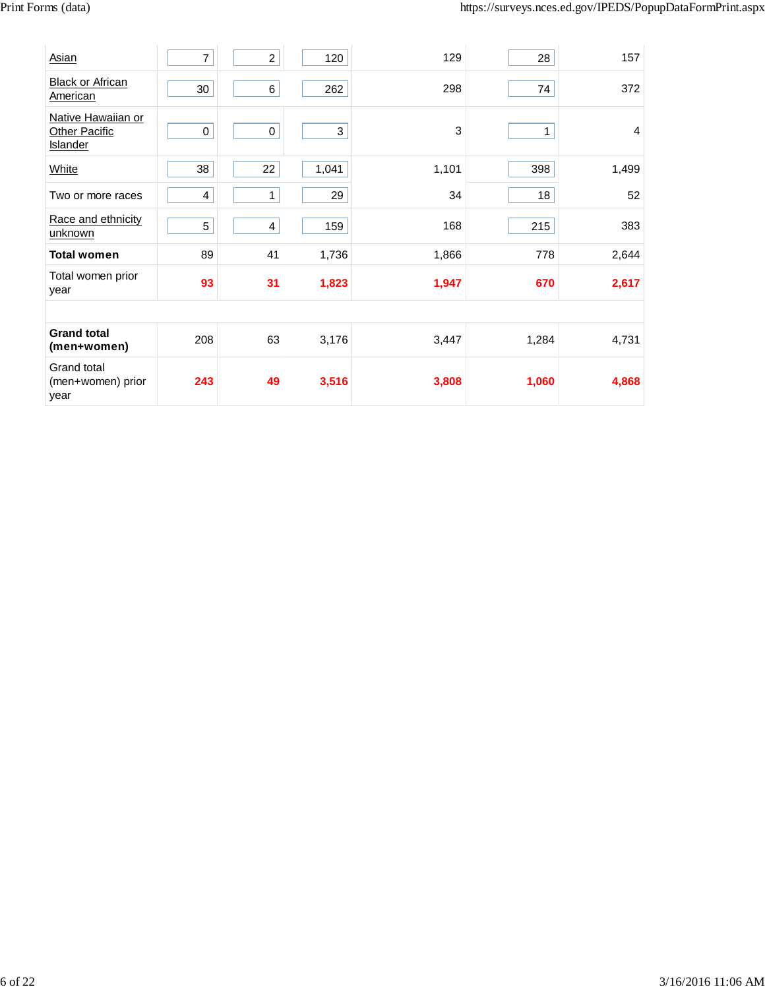| <b>Asian</b>                                           | 7   | $\boldsymbol{2}$        | 120   | 129   | 28    | 157   |
|--------------------------------------------------------|-----|-------------------------|-------|-------|-------|-------|
| <b>Black or African</b><br>American                    | 30  | 6                       | 262   | 298   | 74    | 372   |
| Native Hawaiian or<br>Other Pacific<br><b>Islander</b> | 0   | $\mathbf 0$             | 3     | 3     | 1     | 4     |
| White                                                  | 38  | 22                      | 1,041 | 1,101 | 398   | 1,499 |
| Two or more races                                      | 4   | 1                       | 29    | 34    | 18    | 52    |
| Race and ethnicity<br>unknown                          | 5   | $\overline{\mathbf{4}}$ | 159   | 168   | 215   | 383   |
| <b>Total women</b>                                     | 89  | 41                      | 1,736 | 1,866 | 778   | 2,644 |
| Total women prior<br>year                              | 93  | 31                      | 1,823 | 1,947 | 670   | 2,617 |
|                                                        |     |                         |       |       |       |       |
| <b>Grand total</b><br>(men+women)                      | 208 | 63                      | 3,176 | 3,447 | 1,284 | 4,731 |
| Grand total<br>(men+women) prior<br>year               | 243 | 49                      | 3,516 | 3,808 | 1,060 | 4,868 |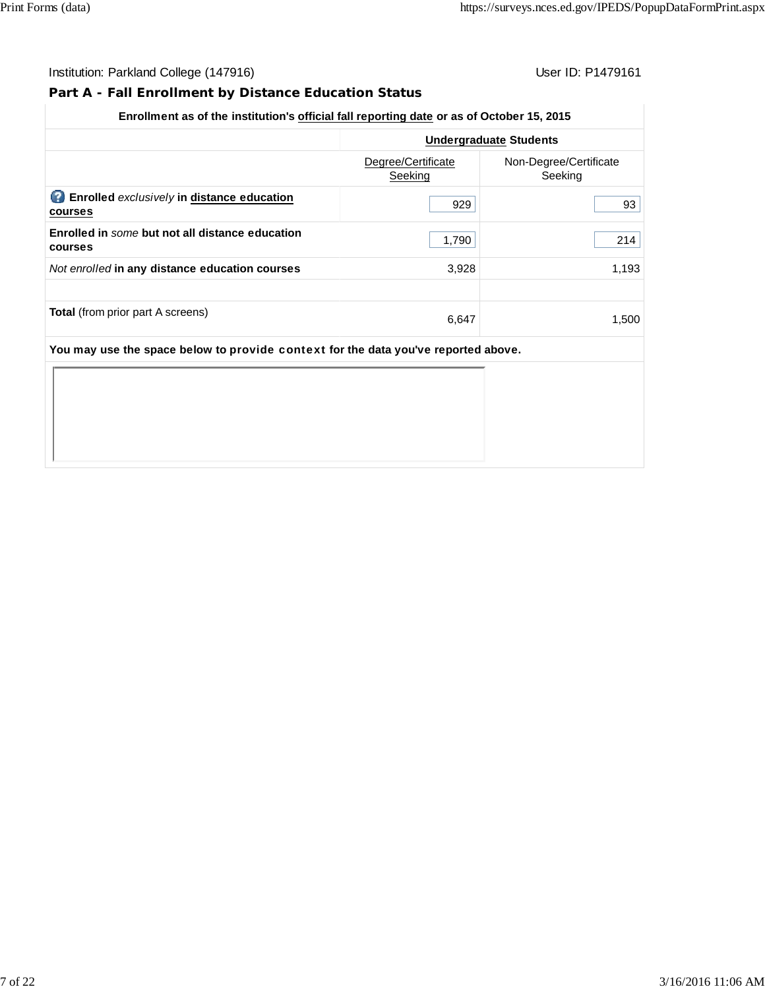# **Part A - Fall Enrollment by Distance Education Status**

## **Enrollment as of the institution's official fall reporting date or as of October 15, 2015**

|                                                                                    |                               | <b>Undergraduate Students</b>     |  |  |  |  |
|------------------------------------------------------------------------------------|-------------------------------|-----------------------------------|--|--|--|--|
|                                                                                    | Degree/Certificate<br>Seeking | Non-Degree/Certificate<br>Seeking |  |  |  |  |
| <b>C</b> Enrolled exclusively in distance education<br>courses                     | 929                           | 93                                |  |  |  |  |
| Enrolled in some but not all distance education<br><b>courses</b>                  | 1,790                         | 214                               |  |  |  |  |
| Not enrolled in any distance education courses                                     | 3,928                         | 1,193                             |  |  |  |  |
| <b>Total</b> (from prior part A screens)                                           | 6,647                         | 1.500                             |  |  |  |  |
| You may use the space below to provide context for the data you've reported above. |                               |                                   |  |  |  |  |
|                                                                                    |                               |                                   |  |  |  |  |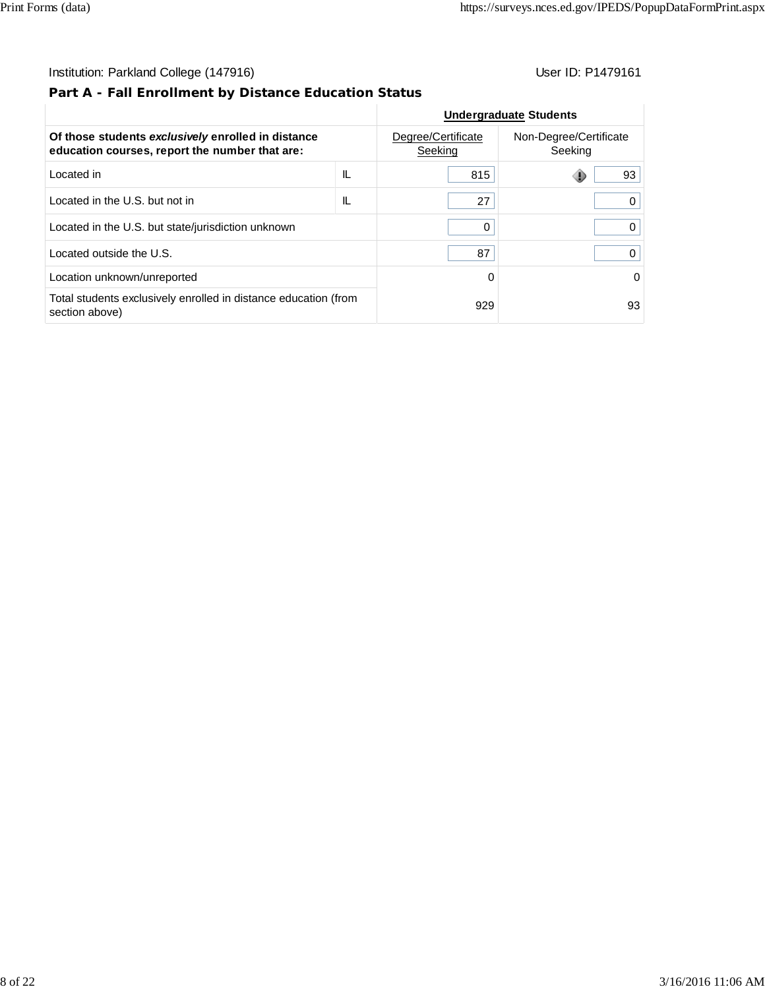# **Part A - Fall Enrollment by Distance Education Status**

|                                                                                                      |    |                               | <b>Undergraduate Students</b>     |
|------------------------------------------------------------------------------------------------------|----|-------------------------------|-----------------------------------|
| Of those students exclusively enrolled in distance<br>education courses, report the number that are: |    | Degree/Certificate<br>Seeking | Non-Degree/Certificate<br>Seeking |
| Located in                                                                                           | IL | 815                           | 93                                |
| Located in the U.S. but not in                                                                       | IL | 27                            |                                   |
| Located in the U.S. but state/jurisdiction unknown                                                   |    | 0                             | 0                                 |
| Located outside the U.S.                                                                             |    | 87                            |                                   |
| Location unknown/unreported                                                                          |    | 0                             | 0                                 |
| Total students exclusively enrolled in distance education (from<br>section above)                    |    | 929                           | 93                                |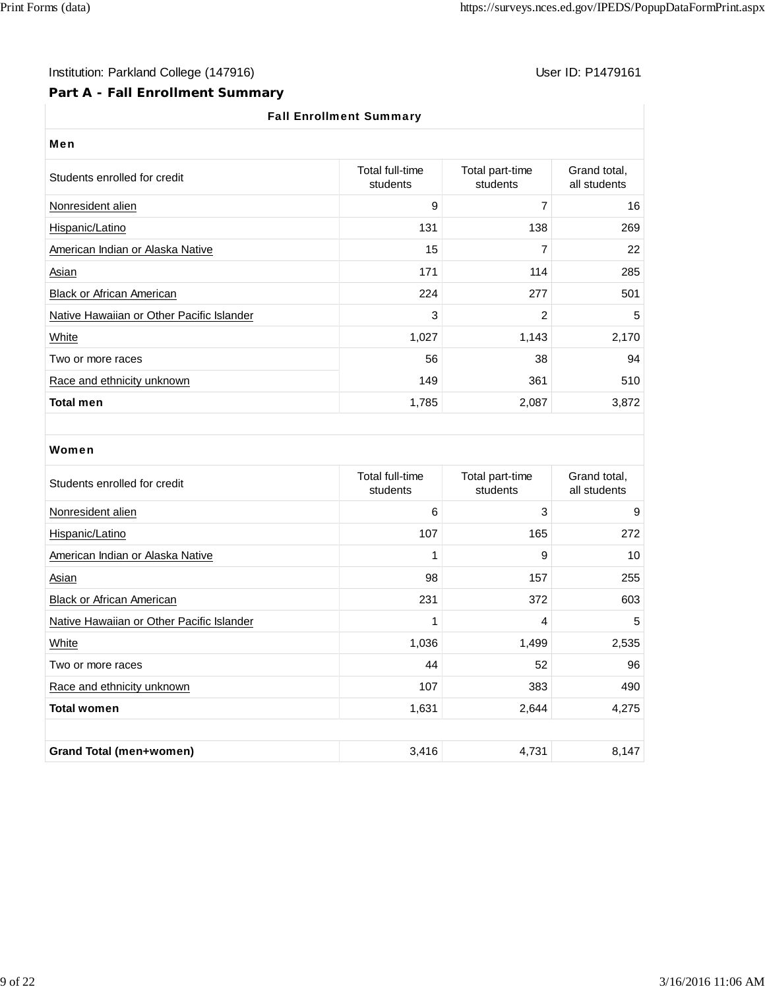I

# Institution: Parkland College (147916) Note that the User ID: P1479161

# **Part A - Fall Enrollment Summary**

# Fall Enrollment Summary

| User ID: P147916 |  |
|------------------|--|
|------------------|--|

| <b>Fall Enforment Summary</b>             |                             |                             |                              |  |  |  |
|-------------------------------------------|-----------------------------|-----------------------------|------------------------------|--|--|--|
| Men                                       |                             |                             |                              |  |  |  |
| Students enrolled for credit              | Total full-time<br>students | Total part-time<br>students | Grand total,<br>all students |  |  |  |
| Nonresident alien                         | 9                           | 7                           | 16                           |  |  |  |
| Hispanic/Latino                           | 131                         | 138                         | 269                          |  |  |  |
| American Indian or Alaska Native          | 15                          | 7                           | 22                           |  |  |  |
| Asian                                     | 171                         | 114                         | 285                          |  |  |  |
| <b>Black or African American</b>          | 224                         | 277                         | 501                          |  |  |  |
| Native Hawaiian or Other Pacific Islander | 3                           | 2                           | 5                            |  |  |  |
| White                                     | 1,027                       | 1,143                       | 2,170                        |  |  |  |
| Two or more races                         | 56                          | 38                          | 94                           |  |  |  |
| Race and ethnicity unknown                | 149                         | 361                         | 510                          |  |  |  |
| <b>Total men</b>                          | 1,785                       | 2,087                       | 3,872                        |  |  |  |

#### Women

| Students enrolled for credit              | Total full-time<br>students | Total part-time<br>students | Grand total,<br>all students |
|-------------------------------------------|-----------------------------|-----------------------------|------------------------------|
| Nonresident alien                         | 6                           | 3                           | 9                            |
| Hispanic/Latino                           | 107                         | 165                         | 272                          |
| American Indian or Alaska Native          | 1                           | 9                           | 10                           |
| Asian                                     | 98                          | 157                         | 255                          |
| <b>Black or African American</b>          | 231                         | 372                         | 603                          |
| Native Hawaiian or Other Pacific Islander | 1                           | 4                           | 5                            |
| White                                     | 1,036                       | 1,499                       | 2,535                        |
| Two or more races                         | 44                          | 52                          | 96                           |
| Race and ethnicity unknown                | 107                         | 383                         | 490                          |
| <b>Total women</b>                        | 1,631                       | 2,644                       | 4,275                        |
|                                           |                             |                             |                              |
| <b>Grand Total (men+women)</b>            | 3,416                       | 4,731                       | 8,147                        |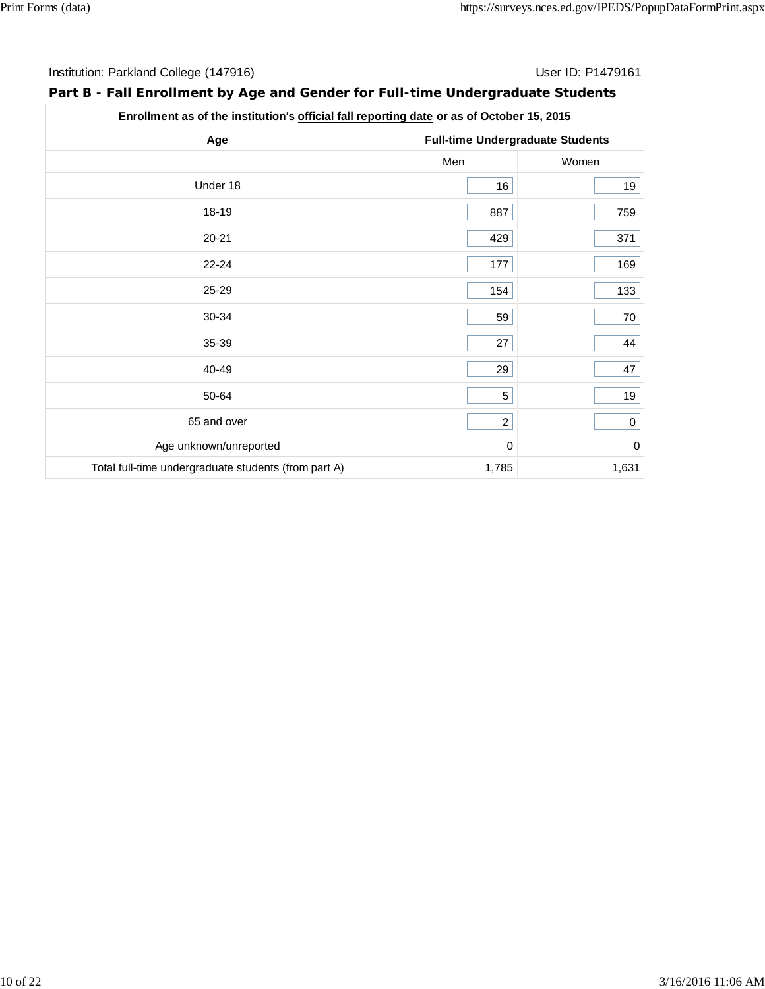# **Part B - Fall Enrollment by Age and Gender for Full-time Undergraduate Students**

| Enrollment as of the institution's official fall reporting date or as of October 15, 2015 |          |                                         |  |  |  |
|-------------------------------------------------------------------------------------------|----------|-----------------------------------------|--|--|--|
| Age                                                                                       |          | <b>Full-time Undergraduate Students</b> |  |  |  |
|                                                                                           | Men      | Women                                   |  |  |  |
| Under 18                                                                                  | 16       | 19                                      |  |  |  |
| 18-19                                                                                     | 887      | 759                                     |  |  |  |
| $20 - 21$                                                                                 | 429      | 371                                     |  |  |  |
| $22 - 24$                                                                                 | 177      | 169                                     |  |  |  |
| 25-29                                                                                     | 154      | 133                                     |  |  |  |
| 30-34                                                                                     | 59       | 70                                      |  |  |  |
| 35-39                                                                                     | 27       | 44                                      |  |  |  |
| 40-49                                                                                     | 29       | 47                                      |  |  |  |
| 50-64                                                                                     | 5        | 19                                      |  |  |  |
| 65 and over                                                                               | $2\vert$ | 0                                       |  |  |  |
| Age unknown/unreported                                                                    | 0        | $\mathbf 0$                             |  |  |  |
| Total full-time undergraduate students (from part A)                                      | 1,785    | 1,631                                   |  |  |  |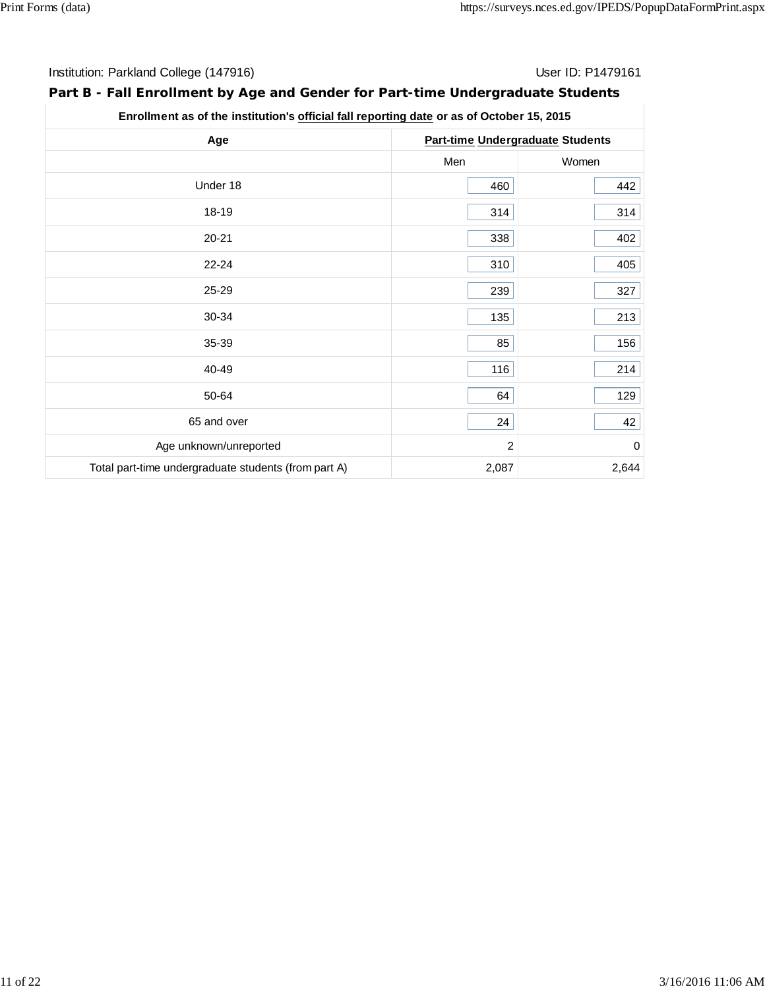# **Part B - Fall Enrollment by Age and Gender for Part-time Undergraduate Students**

| Enrollment as of the institution's official fall reporting date or as of October 15, 2015 |
|-------------------------------------------------------------------------------------------|
|-------------------------------------------------------------------------------------------|

| Age                                                  | <b>Part-time Undergraduate Students</b> |                  |  |
|------------------------------------------------------|-----------------------------------------|------------------|--|
|                                                      | Men                                     | Women            |  |
| Under 18                                             | 460                                     | 442              |  |
| 18-19                                                | 314                                     | 314              |  |
| $20 - 21$                                            | 338                                     | 402              |  |
| 22-24                                                | 310                                     | 405              |  |
| 25-29                                                | 239                                     | 327              |  |
| 30-34                                                | 135                                     | 213              |  |
| 35-39                                                | 85                                      | 156              |  |
| 40-49                                                | 116                                     | 214              |  |
| 50-64                                                | 64                                      | 129              |  |
| 65 and over                                          | 24                                      | 42               |  |
| Age unknown/unreported                               | 2                                       | $\boldsymbol{0}$ |  |
| Total part-time undergraduate students (from part A) | 2,087                                   | 2,644            |  |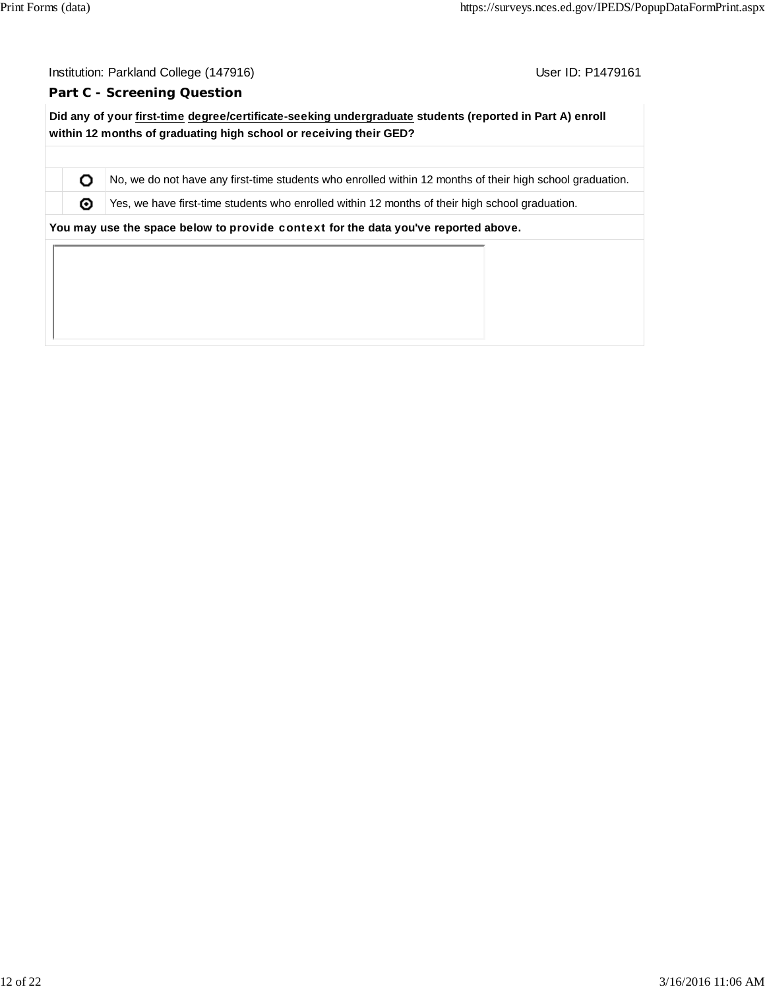O ⊚

User ID: P1479161

#### **Part C - Screening Question**

**Did any of your first-time degree/certificate-seeking undergraduate students (reported in Part A) enroll within 12 months of graduating high school or receiving their GED?**

No, we do not have any first-time students who enrolled within 12 months of their high school graduation.

Yes, we have first-time students who enrolled within 12 months of their high school graduation.

**You may use the space below to** provide context **for the data you've reported above.**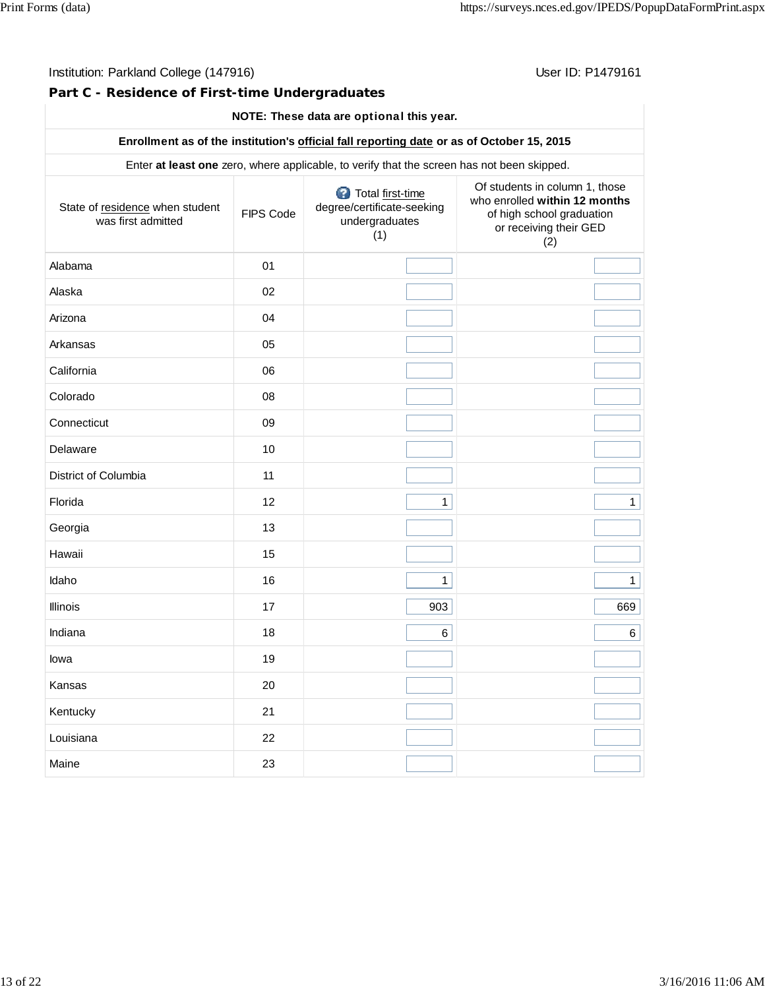**Part C - Residence of First-time Undergraduates**

# **NOTE: These data are** optional **this year.**

### **Enrollment as of the institution's official fall reporting date or as of October 15, 2015**

Enter **at least one** zero, where applicable, to verify that the screen has not been skipped.

| State of residence when student<br>was first admitted | FIPS Code | Total first-time<br>degree/certificate-seeking<br>undergraduates<br>(1) | Of students in column 1, those<br>who enrolled within 12 months<br>of high school graduation<br>or receiving their GED<br>(2) |
|-------------------------------------------------------|-----------|-------------------------------------------------------------------------|-------------------------------------------------------------------------------------------------------------------------------|
| Alabama                                               | 01        |                                                                         |                                                                                                                               |
| Alaska                                                | 02        |                                                                         |                                                                                                                               |
| Arizona                                               | 04        |                                                                         |                                                                                                                               |
| Arkansas                                              | 05        |                                                                         |                                                                                                                               |
| California                                            | 06        |                                                                         |                                                                                                                               |
| Colorado                                              | 08        |                                                                         |                                                                                                                               |
| Connecticut                                           | 09        |                                                                         |                                                                                                                               |
| Delaware                                              | 10        |                                                                         |                                                                                                                               |
| District of Columbia                                  | 11        |                                                                         |                                                                                                                               |
| Florida                                               | 12        | $\mathbf{1}$                                                            | $\mathbf{1}$                                                                                                                  |
| Georgia                                               | 13        |                                                                         |                                                                                                                               |
| Hawaii                                                | 15        |                                                                         |                                                                                                                               |
| Idaho                                                 | 16        | $\mathbf{1}$                                                            | $\mathbf{1}$                                                                                                                  |
| Illinois                                              | 17        | 903                                                                     | 669                                                                                                                           |
| Indiana                                               | 18        | 6                                                                       | $6 \mid$                                                                                                                      |
| lowa                                                  | 19        |                                                                         |                                                                                                                               |
| Kansas                                                | 20        |                                                                         |                                                                                                                               |
| Kentucky                                              | 21        |                                                                         |                                                                                                                               |
| Louisiana                                             | 22        |                                                                         |                                                                                                                               |
| Maine                                                 | 23        |                                                                         |                                                                                                                               |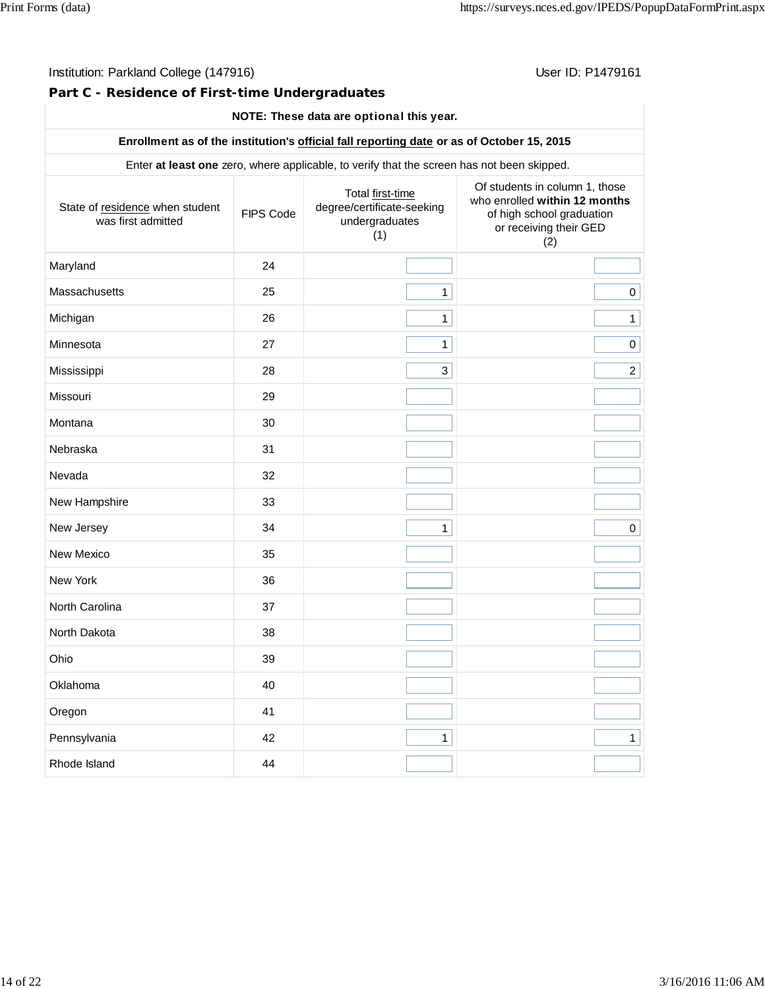**Part C - Residence of First-time Undergraduates**

## **NOTE: These data are** optional **this year.**

### **Enrollment as of the institution's official fall reporting date or as of October 15, 2015**

Enter **at least one** zero, where applicable, to verify that the screen has not been skipped.

| State of residence when student<br>was first admitted | FIPS Code | Total first-time<br>degree/certificate-seeking<br>undergraduates<br>(1) | Of students in column 1, those<br>who enrolled within 12 months<br>of high school graduation<br>or receiving their GED<br>(2) |
|-------------------------------------------------------|-----------|-------------------------------------------------------------------------|-------------------------------------------------------------------------------------------------------------------------------|
| Maryland                                              | 24        |                                                                         |                                                                                                                               |
| Massachusetts                                         | 25        | $\mathbf{1}$                                                            | $\mathbf 0$                                                                                                                   |
| Michigan                                              | 26        | $\mathbf{1}$                                                            | $\mathbf{1}$                                                                                                                  |
| Minnesota                                             | 27        | $\mathbf{1}$                                                            | $\pmb{0}$                                                                                                                     |
| Mississippi                                           | 28        | 3                                                                       | $\overline{2}$                                                                                                                |
| Missouri                                              | 29        |                                                                         |                                                                                                                               |
| Montana                                               | 30        |                                                                         |                                                                                                                               |
| Nebraska                                              | 31        |                                                                         |                                                                                                                               |
| Nevada                                                | 32        |                                                                         |                                                                                                                               |
| New Hampshire                                         | 33        |                                                                         |                                                                                                                               |
| New Jersey                                            | 34        | $\mathbf{1}$                                                            | $\pmb{0}$                                                                                                                     |
| New Mexico                                            | 35        |                                                                         |                                                                                                                               |
| New York                                              | 36        |                                                                         |                                                                                                                               |
| North Carolina                                        | 37        |                                                                         |                                                                                                                               |
| North Dakota                                          | 38        |                                                                         |                                                                                                                               |
| Ohio                                                  | 39        |                                                                         |                                                                                                                               |
| Oklahoma                                              | 40        |                                                                         |                                                                                                                               |
| Oregon                                                | 41        |                                                                         |                                                                                                                               |
| Pennsylvania                                          | 42        | $\mathbf{1}$                                                            | $\mathbf{1}$                                                                                                                  |
| Rhode Island                                          | 44        |                                                                         |                                                                                                                               |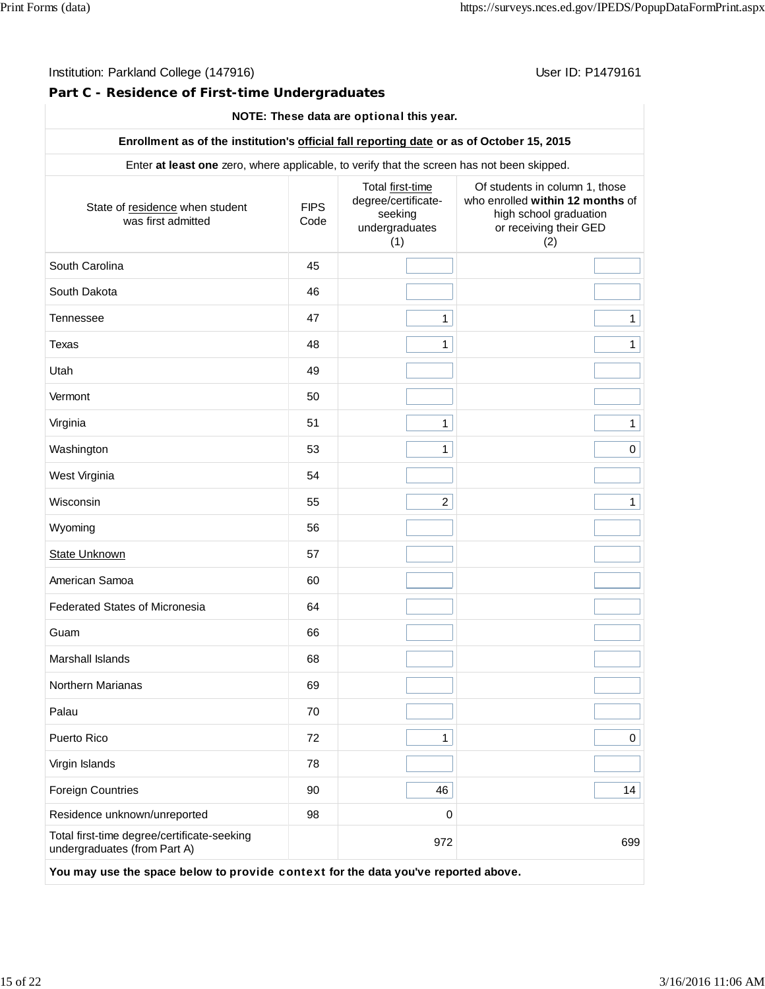## **Part C - Residence of First-time Undergraduates**

# **NOTE: These data are** optional **this year.**

#### **Enrollment as of the institution's official fall reporting date or as of October 15, 2015**

Enter **at least one** zero, where applicable, to verify that the screen has not been skipped.

| State of residence when student<br>was first admitted                              | <b>FIPS</b><br>Code | Total first-time<br>degree/certificate-<br>seeking<br>undergraduates<br>(1) | Of students in column 1, those<br>who enrolled within 12 months of<br>high school graduation<br>or receiving their GED<br>(2) |
|------------------------------------------------------------------------------------|---------------------|-----------------------------------------------------------------------------|-------------------------------------------------------------------------------------------------------------------------------|
| South Carolina                                                                     | 45                  |                                                                             |                                                                                                                               |
| South Dakota                                                                       | 46                  |                                                                             |                                                                                                                               |
| Tennessee                                                                          | 47                  | $\mathbf{1}$                                                                | $\mathbf{1}$                                                                                                                  |
| Texas                                                                              | 48                  | $\mathbf{1}$                                                                | $\mathbf{1}$                                                                                                                  |
| Utah                                                                               | 49                  |                                                                             |                                                                                                                               |
| Vermont                                                                            | 50                  |                                                                             |                                                                                                                               |
| Virginia                                                                           | 51                  | $\mathbf{1}$                                                                | $\mathbf{1}$                                                                                                                  |
| Washington                                                                         | 53                  | $\mathbf{1}$                                                                | $\mathbf 0$                                                                                                                   |
| West Virginia                                                                      | 54                  |                                                                             |                                                                                                                               |
| Wisconsin                                                                          | 55                  | $\overline{c}$                                                              | $\mathbf{1}$                                                                                                                  |
| Wyoming                                                                            | 56                  |                                                                             |                                                                                                                               |
| <b>State Unknown</b>                                                               | 57                  |                                                                             |                                                                                                                               |
| American Samoa                                                                     | 60                  |                                                                             |                                                                                                                               |
| <b>Federated States of Micronesia</b>                                              | 64                  |                                                                             |                                                                                                                               |
| Guam                                                                               | 66                  |                                                                             |                                                                                                                               |
| Marshall Islands                                                                   | 68                  |                                                                             |                                                                                                                               |
| Northern Marianas                                                                  | 69                  |                                                                             |                                                                                                                               |
| Palau                                                                              | 70                  |                                                                             |                                                                                                                               |
| Puerto Rico                                                                        | 72                  | 1                                                                           | 0                                                                                                                             |
| Virgin Islands                                                                     | 78                  |                                                                             |                                                                                                                               |
| <b>Foreign Countries</b>                                                           | 90                  | 46                                                                          | 14                                                                                                                            |
| Residence unknown/unreported                                                       | 98                  | $\mathbf 0$                                                                 |                                                                                                                               |
| Total first-time degree/certificate-seeking<br>undergraduates (from Part A)        |                     | 972                                                                         | 699                                                                                                                           |
| You may use the space below to provide context for the data you've reported above. |                     |                                                                             |                                                                                                                               |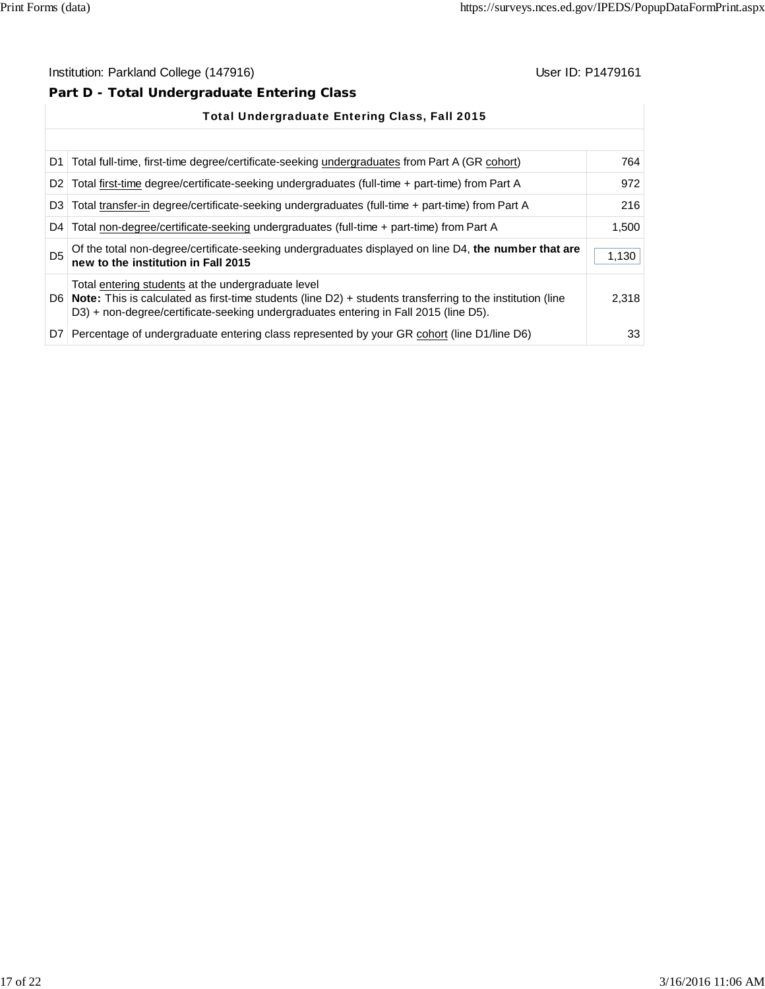# **Part D - Total Undergraduate Entering Class**

| <b>Total Undergraduate Entering Class, Fall 2015</b> |                                                                                                                                                                                                                                                                  |       |  |  |
|------------------------------------------------------|------------------------------------------------------------------------------------------------------------------------------------------------------------------------------------------------------------------------------------------------------------------|-------|--|--|
|                                                      |                                                                                                                                                                                                                                                                  |       |  |  |
|                                                      | D1 Total full-time, first-time degree/certificate-seeking undergraduates from Part A (GR cohort)                                                                                                                                                                 | 764   |  |  |
|                                                      | D2   Total first-time degree/certificate-seeking undergraduates (full-time + part-time) from Part A                                                                                                                                                              | 972   |  |  |
|                                                      | D3 Total transfer-in degree/certificate-seeking undergraduates (full-time + part-time) from Part A                                                                                                                                                               | 216   |  |  |
| D <sub>4</sub>                                       | Total non-degree/certificate-seeking undergraduates (full-time + part-time) from Part A                                                                                                                                                                          | 1.500 |  |  |
| D <sub>5</sub>                                       | Of the total non-degree/certificate-seeking undergraduates displayed on line D4, the number that are<br>new to the institution in Fall 2015                                                                                                                      | 1,130 |  |  |
|                                                      | Total entering students at the undergraduate level<br>D6   Note: This is calculated as first-time students (line $D2$ ) + students transferring to the institution (line<br>D3) + non-degree/certificate-seeking undergraduates entering in Fall 2015 (line D5). | 2,318 |  |  |
| D7 I                                                 | Percentage of undergraduate entering class represented by your GR cohort (line D1/line D6)                                                                                                                                                                       | 33    |  |  |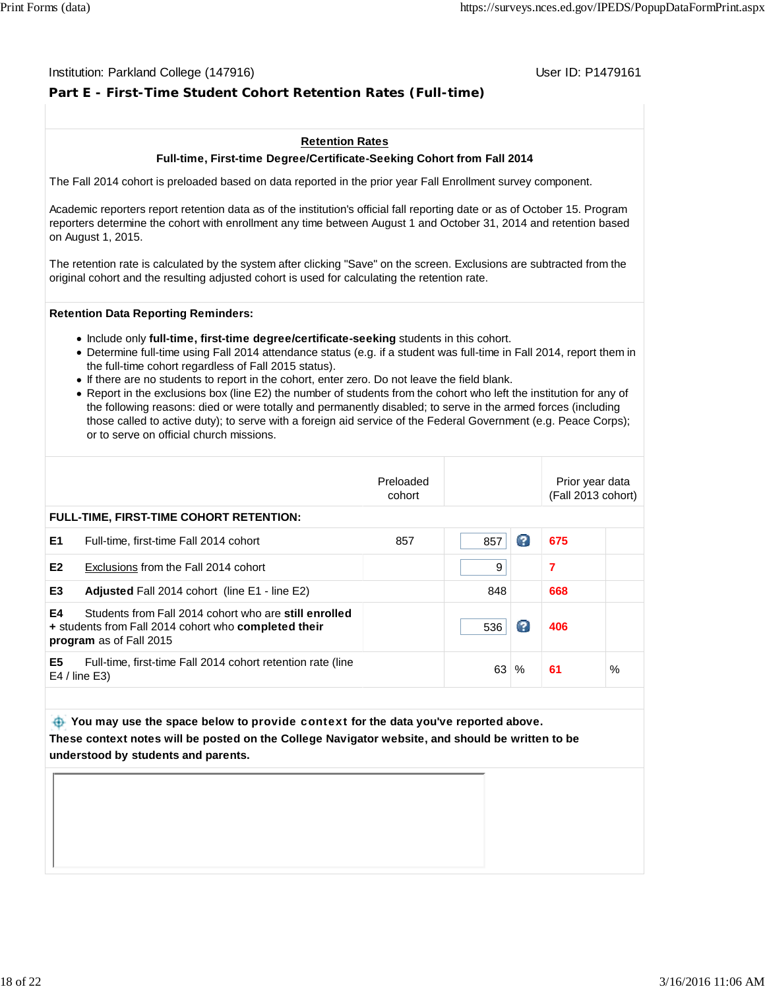#### Institution: Parkland College (147916) November 2012 12: P1479161

# **Part E - First-Time Student Cohort Retention Rates (Full-time)**

#### **Retention Rates**

#### **Full-time, First-time Degree/Certificate-Seeking Cohort from Fall 2014**

The Fall 2014 cohort is preloaded based on data reported in the prior year Fall Enrollment survey component.

Academic reporters report retention data as of the institution's official fall reporting date or as of October 15. Program reporters determine the cohort with enrollment any time between August 1 and October 31, 2014 and retention based on August 1, 2015.

The retention rate is calculated by the system after clicking "Save" on the screen. Exclusions are subtracted from the original cohort and the resulting adjusted cohort is used for calculating the retention rate.

#### **Retention Data Reporting Reminders:**

- **Include only full-time, first-time degree/certificate-seeking students in this cohort.**
- Determine full-time using Fall 2014 attendance status (e.g. if a student was full-time in Fall 2014, report them in the full-time cohort regardless of Fall 2015 status).
- If there are no students to report in the cohort, enter zero. Do not leave the field blank.
- Report in the exclusions box (line E2) the number of students from the cohort who left the institution for any of the following reasons: died or were totally and permanently disabled; to serve in the armed forces (including those called to active duty); to serve with a foreign aid service of the Federal Government (e.g. Peace Corps); or to serve on official church missions.

|                |                                                                                                                                          | Preloaded<br>cohort |     |   | Prior year data<br>(Fall 2013 cohort) |      |
|----------------|------------------------------------------------------------------------------------------------------------------------------------------|---------------------|-----|---|---------------------------------------|------|
|                | <b>FULL-TIME, FIRST-TIME COHORT RETENTION:</b>                                                                                           |                     |     |   |                                       |      |
| E <sub>1</sub> | Full-time, first-time Fall 2014 cohort                                                                                                   | 857                 | 857 | Ω | 675                                   |      |
| E <sub>2</sub> | Exclusions from the Fall 2014 cohort                                                                                                     |                     | 9   |   | 7                                     |      |
| E <sub>3</sub> | <b>Adjusted Fall 2014 cohort (line E1 - line E2)</b>                                                                                     |                     | 848 |   | 668                                   |      |
| E4             | Students from Fall 2014 cohort who are still enrolled<br>+ students from Fall 2014 cohort who completed their<br>program as of Fall 2015 |                     | 536 | Ø | 406                                   |      |
| E5             | Full-time, first-time Fall 2014 cohort retention rate (line<br>$E4$ / line $E3$ )                                                        |                     | 63  | % | 61                                    | $\%$ |

 **You may use the space below to** provide context **for the data you've reported above. These context notes will be posted on the College Navigator website, and should be written to be understood by students and parents.**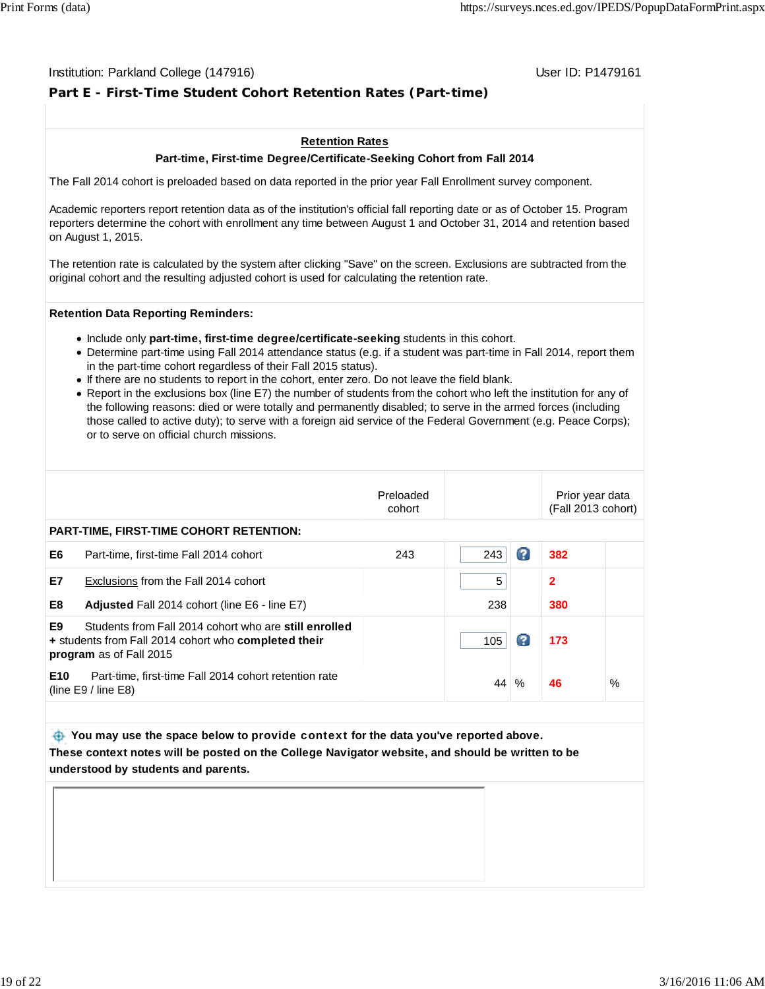#### Institution: Parkland College (147916) November 2012 12: P1479161

# **Part E - First-Time Student Cohort Retention Rates (Part-time)**

#### **Retention Rates**

#### **Part-time, First-time Degree/Certificate-Seeking Cohort from Fall 2014**

The Fall 2014 cohort is preloaded based on data reported in the prior year Fall Enrollment survey component.

Academic reporters report retention data as of the institution's official fall reporting date or as of October 15. Program reporters determine the cohort with enrollment any time between August 1 and October 31, 2014 and retention based on August 1, 2015.

The retention rate is calculated by the system after clicking "Save" on the screen. Exclusions are subtracted from the original cohort and the resulting adjusted cohort is used for calculating the retention rate.

#### **Retention Data Reporting Reminders:**

- Include only **part-time, first-time degree/certificate-seeking** students in this cohort.
- Determine part-time using Fall 2014 attendance status (e.g. if a student was part-time in Fall 2014, report them in the part-time cohort regardless of their Fall 2015 status).
- If there are no students to report in the cohort, enter zero. Do not leave the field blank.
- Report in the exclusions box (line E7) the number of students from the cohort who left the institution for any of the following reasons: died or were totally and permanently disabled; to serve in the armed forces (including those called to active duty); to serve with a foreign aid service of the Federal Government (e.g. Peace Corps); or to serve on official church missions.

|                 |                                                                                                                                          | Preloaded<br>cohort |     |    | Prior year data<br>(Fall 2013 cohort) |      |
|-----------------|------------------------------------------------------------------------------------------------------------------------------------------|---------------------|-----|----|---------------------------------------|------|
|                 | <b>PART-TIME, FIRST-TIME COHORT RETENTION:</b>                                                                                           |                     |     |    |                                       |      |
| E6              | Part-time, first-time Fall 2014 cohort                                                                                                   | 243                 | 243 | B  | 382                                   |      |
| E7              | Exclusions from the Fall 2014 cohort                                                                                                     |                     | 5   |    | 2                                     |      |
| E8              | Adjusted Fall 2014 cohort (line E6 - line E7)                                                                                            |                     | 238 |    | 380                                   |      |
| E9              | Students from Fall 2014 cohort who are still enrolled<br>+ students from Fall 2014 cohort who completed their<br>program as of Fall 2015 |                     | 105 | C. | 173                                   |      |
| E <sub>10</sub> | Part-time, first-time Fall 2014 cohort retention rate<br>(line $E9/$ line $E8$ )                                                         |                     | 44  | %  | 46                                    | $\%$ |
|                 |                                                                                                                                          |                     |     |    |                                       |      |

# **You may use the space below to** provide context **for the data you've reported above. These context notes will be posted on the College Navigator website, and should be written to be understood by students and parents.**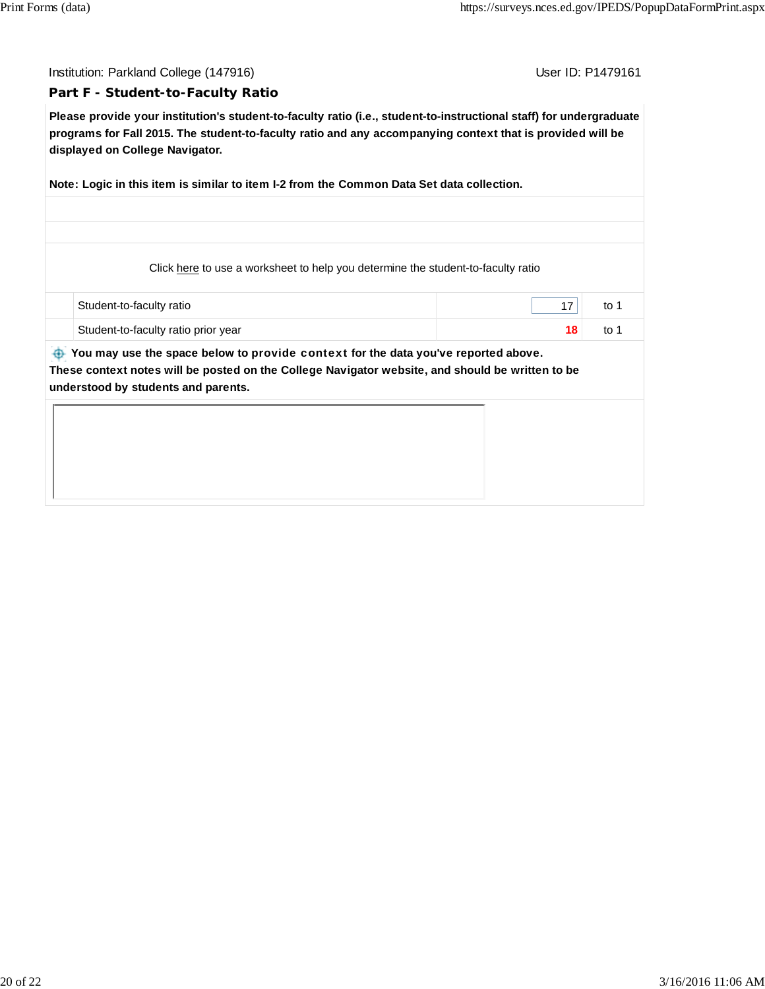Institution: Parkland College (147916) November 2012 12: P1479161

#### **Part F - Student-to-Faculty Ratio**

**Please provide your institution's student-to-faculty ratio (i.e., student-to-instructional staff) for undergraduate programs for Fall 2015. The student-to-faculty ratio and any accompanying context that is provided will be displayed on College Navigator.**

**Note: Logic in this item is similar to item I-2 from the Common Data Set data collection.**

Click here to use a worksheet to help you determine the student-to-faculty ratio

| Student-to-faculty ratio            | to |
|-------------------------------------|----|
| Student-to-faculty ratio prior year | to |

 **You may use the space below to** provide context **for the data you've reported above. These context notes will be posted on the College Navigator website, and should be written to be understood by students and parents.**

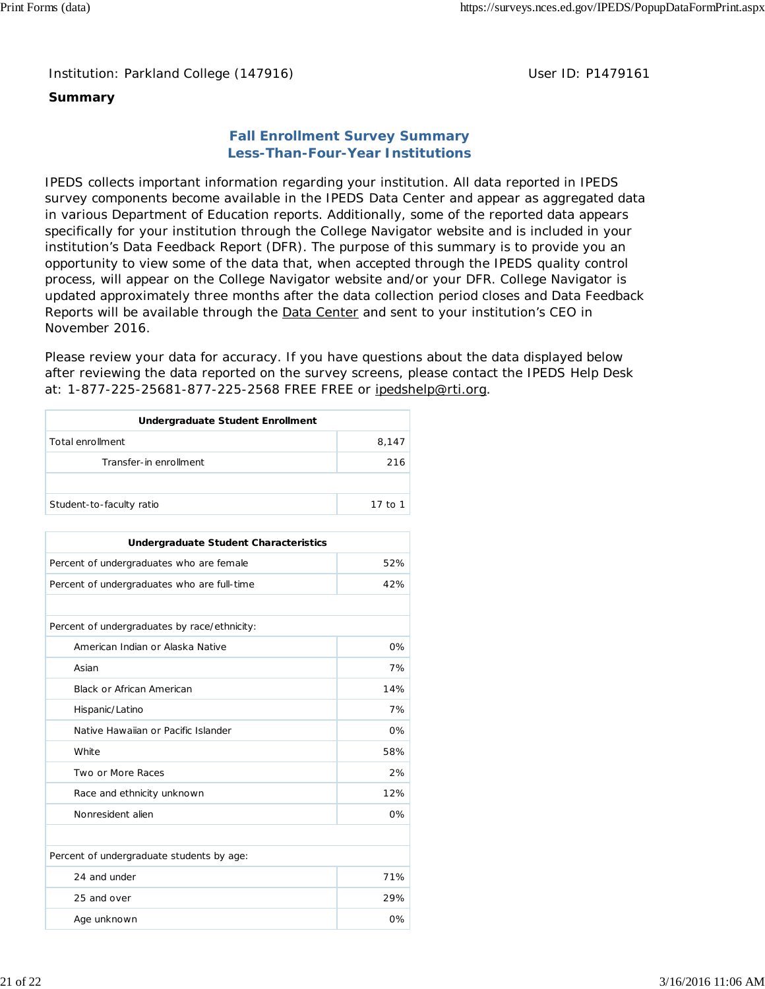### Institution: Parkland College (147916) **Distribution: Parkland College (1479161** College College College College College College College College College College College College College College College College College Colle

# **Summary**

# **Fall Enrollment Survey Summary Less-Than-Four-Year Institutions**

IPEDS collects important information regarding your institution. All data reported in IPEDS survey components become available in the IPEDS Data Center and appear as aggregated data in various Department of Education reports. Additionally, some of the reported data appears specifically for your institution through the College Navigator website and is included in your institution's Data Feedback Report (DFR). The purpose of this summary is to provide you an opportunity to view some of the data that, when accepted through the IPEDS quality control process, will appear on the College Navigator website and/or your DFR. College Navigator is updated approximately three months after the data collection period closes and Data Feedback Reports will be available through the Data Center and sent to your institution's CEO in November 2016.

Please review your data for accuracy. If you have questions about the data displayed below after reviewing the data reported on the survey screens, please contact the IPEDS Help Desk at: 1-877-225-25681-877-225-2568 FREE FREE or ipedshelp@rti.org.

| Undergraduate Student Enrollment |         |  |  |
|----------------------------------|---------|--|--|
| Total enrollment                 | 8.147   |  |  |
| Transfer-in enrollment           | 216     |  |  |
|                                  |         |  |  |
| Student-to-faculty ratio         | 17 to 1 |  |  |

| <b>Undergraduate Student Characteristics</b> |       |  |  |  |
|----------------------------------------------|-------|--|--|--|
| Percent of undergraduates who are female     | 52%   |  |  |  |
| Percent of undergraduates who are full-time  | 42%   |  |  |  |
|                                              |       |  |  |  |
| Percent of undergraduates by race/ethnicity: |       |  |  |  |
| American Indian or Alaska Native             | 0%    |  |  |  |
| Asian                                        | 7%    |  |  |  |
| <b>Black or African American</b>             | 14%   |  |  |  |
| Hispanic/Latino                              | 7%    |  |  |  |
| Native Hawaiian or Pacific Islander          | $0\%$ |  |  |  |
| White                                        | 58%   |  |  |  |
| Two or More Races                            | 2%    |  |  |  |
| Race and ethnicity unknown                   | 12%   |  |  |  |
| Nonresident alien                            | $0\%$ |  |  |  |
|                                              |       |  |  |  |
| Percent of undergraduate students by age:    |       |  |  |  |
| 24 and under                                 | 71%   |  |  |  |
| 25 and over                                  | 29%   |  |  |  |
| Age unknown                                  | 0%    |  |  |  |